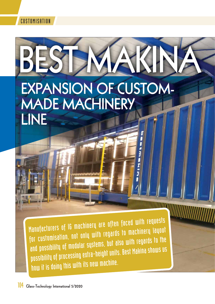



Manufacturers of IG machinery are often faced with requests for customisation, not only with regards to machinery layout and possibility of modular systems, but also with regards to the possibility of processing extra-height units. Best Makina shows us how it is doing this with its new machine.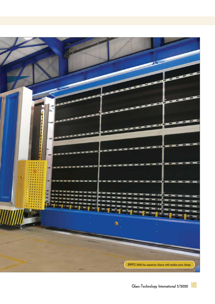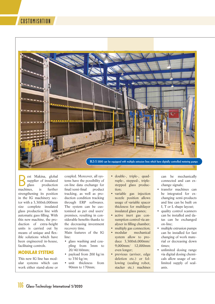

est Makina, global<br>supplier of insulated<br>glass production<br>ines. is further supplier of insulated production machines. strengthening its position in the IG machinery sector with a 3,300x6,000mm size complete insulated glass production line with automatic gass filling. With this new machine, the production of extra-height units is carried out by means of unique and flexible solutions which have been engineered in-house, facilitaing controls.

## **MODULAR SYSTEMS**

This new IG line has modular systems which can work either stand-alone or coupled. Moreover, all systems have the possibility of on-line data exchange for final/semi-final product tracking, as well as production condition tracking through ERP softwares. The system can be customised as per end users' premises, resulting in considerable benefits thanks to the decreasing investment recovery time. Main features of the IG

line:

- glass washing and coupling from 3mm to 20/40/60mm;
- payload from 200 kg/m to 350 kg/m;
- unit thickness from 90mm to 170mm;
- double-, triple-, quadruple-, stepped-, triplestepped glass production;
- variable gas injection nozzle position allows usage of variable spacer thickness for multilayer insulated glass panes;
- active inert gas consumption control via analyser in filling chamber;
- multiply gas connection;
- modular mechanical system allow to produce 3,300x6,000mm/ 9,000mm/ 12,000mm even longer;
- previous (arriser, edge deletion etc.) or following (sealing robot, stacker etc.) machines

can be mechanically connected and can exchange signals;

- transfer machines can be integrated for exchanging semi-products and line can be built on I, T or L shape layout;
- quality control scanners can be installed and datas can be exchanged on-line;
- multiple extrusion pumps can be installed for fast changing of work material or decreasing down times;
- unlimited dosing range via digital dosing chemicals allow usage of unlimited supply of sealants.